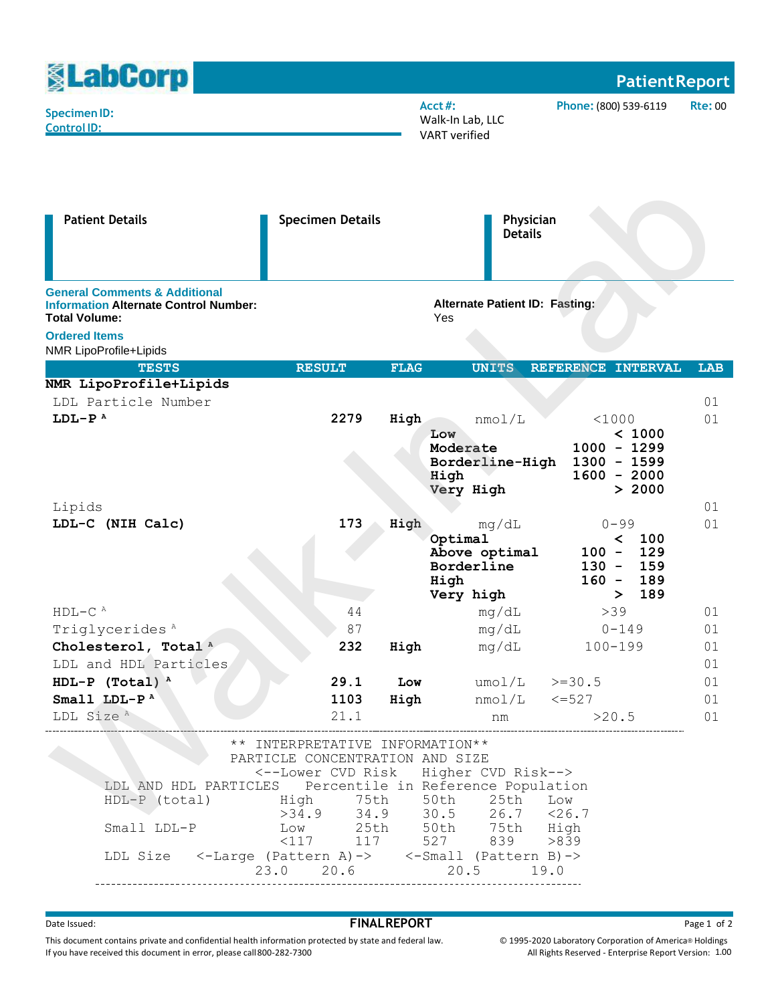| <b><u>SLabCorp</u></b>                                                                                                                             |                                                                                                                                                                                                         |                                                                             |                                                                      | <b>Patient Report</b>                                                                        |                |  |  |
|----------------------------------------------------------------------------------------------------------------------------------------------------|---------------------------------------------------------------------------------------------------------------------------------------------------------------------------------------------------------|-----------------------------------------------------------------------------|----------------------------------------------------------------------|----------------------------------------------------------------------------------------------|----------------|--|--|
| <b>Specimen ID:</b><br><b>Control ID:</b>                                                                                                          |                                                                                                                                                                                                         |                                                                             | $Acct$ #:<br>Walk-In Lab, LLC<br><b>VART</b> verified                | Phone: (800) 539-6119                                                                        | <b>Rte: 00</b> |  |  |
| <b>Patient Details</b>                                                                                                                             | <b>Specimen Details</b>                                                                                                                                                                                 | Physician<br><b>Details</b><br><b>Alternate Patient ID: Fasting:</b><br>Yes |                                                                      |                                                                                              |                |  |  |
| <b>General Comments &amp; Additional</b><br><b>Information Alternate Control Number:</b><br><b>Total Volume:</b><br><b>Ordered Items</b>           |                                                                                                                                                                                                         |                                                                             |                                                                      |                                                                                              |                |  |  |
| NMR LipoProfile+Lipids<br><b>TESTS</b>                                                                                                             | <b>RESULT</b>                                                                                                                                                                                           | <b>FLAG</b>                                                                 | <b>UNITS</b>                                                         | REFERENCE INTERVAL                                                                           | <b>LAB</b>     |  |  |
| NMR LipoProfile+Lipids                                                                                                                             |                                                                                                                                                                                                         |                                                                             |                                                                      |                                                                                              |                |  |  |
| LDL Particle Number                                                                                                                                |                                                                                                                                                                                                         |                                                                             |                                                                      |                                                                                              | 01             |  |  |
| $LDL-PA$                                                                                                                                           | 2279                                                                                                                                                                                                    | High                                                                        | nmol/L                                                               | < 1000                                                                                       | 01             |  |  |
|                                                                                                                                                    |                                                                                                                                                                                                         |                                                                             | Low<br>Moderate<br>Borderline-High<br>High<br>Very High              | < 1000<br>$1000 - 1299$<br>$1300 - 1599$<br>$1600 - 2000$<br>> 2000                          |                |  |  |
| Lipids                                                                                                                                             |                                                                                                                                                                                                         |                                                                             |                                                                      |                                                                                              | 01             |  |  |
| LDL-C (NIH Calc)                                                                                                                                   | 173                                                                                                                                                                                                     | High                                                                        | mq/dL<br>Optimal<br>Above optimal<br>Borderline<br>High<br>Very high | $0 - 99$<br>$\prec$<br>100<br>$100 -$<br>129<br>$130 -$<br>159<br>189<br>$160 -$<br>189<br>≻ | 01             |  |  |
| $HDL-CA$                                                                                                                                           | 44                                                                                                                                                                                                      |                                                                             | mq/dL                                                                | >39                                                                                          | 01             |  |  |
| Triglycerides <sup>A</sup>                                                                                                                         | 87                                                                                                                                                                                                      |                                                                             | mg/dL                                                                | $0 - 149$                                                                                    | 01             |  |  |
| Cholesterol, Total <sup>A</sup>                                                                                                                    | 232                                                                                                                                                                                                     | High                                                                        |                                                                      | mg/dL 100-199                                                                                | 01             |  |  |
| LDL and HDL Particles                                                                                                                              |                                                                                                                                                                                                         |                                                                             |                                                                      |                                                                                              | 01             |  |  |
| HDL-P (Total) $^{\text{A}}$<br>Small LDL- $P^A$                                                                                                    | 29.1 Low<br>1103                                                                                                                                                                                        | High                                                                        |                                                                      | $umol/L$ >=30.5<br>$nmol/L$ $\leq$ =527                                                      | 01<br>01       |  |  |
| LDL Size <sup>A</sup>                                                                                                                              | 21.1                                                                                                                                                                                                    |                                                                             | nm                                                                   | >20.5                                                                                        | 01             |  |  |
| LDL AND HDL PARTICLES Percentile in Reference Population<br>$HDL-P$ (total)<br>Small LDL-P<br>LDL Size <-Large (Pattern A)-> <-Small (Pattern B)-> | ** INTERPRETATIVE INFORMATION**<br>PARTICLE CONCENTRATION AND SIZE<br><--Lower CVD Risk<br>High 75th<br>>34.9 34.9 30.5 26.7 <26.<br>Low 25th 50th 75th High<br><117 117 527 839 >839<br>23.0 20.6 20.5 |                                                                             | Higher CVD Risk--><br>50th<br>25th                                   | Low<br>$26.7 \t < 26.7$<br>19.0                                                              |                |  |  |

## external of the Issued:<br> **FINALREPORT** Page 1 of 2

This document contains private and confidential health information protected by state and federal law. If you have received this document in error, please call800-282-7300

© 1995-2020 Laboratory Corporation of America® Holdings All Rights Reserved - Enterprise Report Version: 1.00